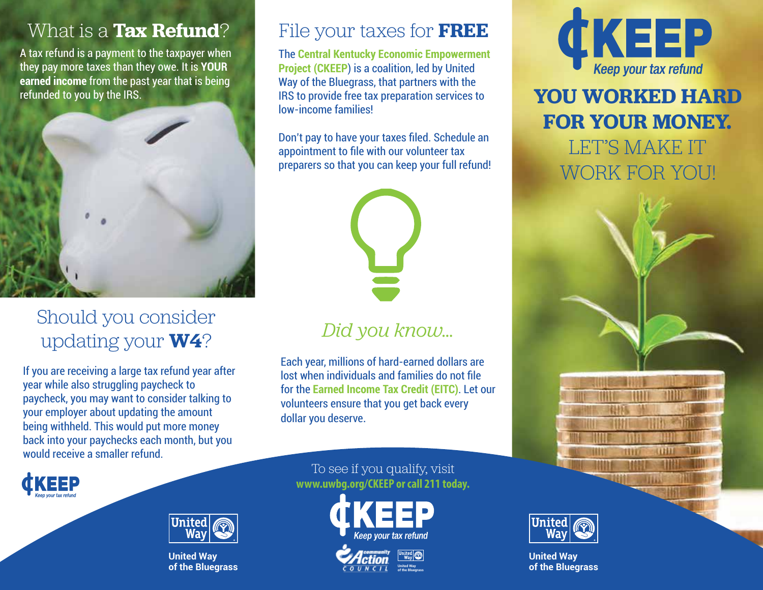A tax refund is a payment to the taxpayer when they pay more taxes than they owe. It is **YOUR earned income** from the past year that is being refunded to you by the IRS.



# Should you consider updating your **W4**?

If you are receiving a large tax refund year after year while also struggling paycheck to paycheck, you may want to consider talking to your employer about updating the amount being withheld. This would put more money back into your paychecks each month, but you would receive a smaller refund.

## What is a **Tax Refund**? File your taxes for **FREE**

The **Central Kentucky Economic Empowerment Project (CKEEP**) is a coalition, led by United Way of the Bluegrass, that partners with the IRS to provide free tax preparation services to low-income families!

Don't pay to have your taxes filed. Schedule an appointment to file with our volunteer tax preparers so that you can keep your full refund!



# *Did you know…*

Each year, millions of hard-earned dollars are lost when individuals and families do not file for the **Earned Income Tax Credit (EITC)**. Let our volunteers ensure that you get back every dollar you deserve.

#### To see if you qualify, visit **www.uwbg.org/CKEEP or call 211 today.**



**of the Bluegrass**



# **YOU WORKED HARD FOR YOUR MONEY.**  LET'S MAKE IT WORK FOR YOU!





**United Way of the Bluegrass** 



**United Way of the Bluegrass**